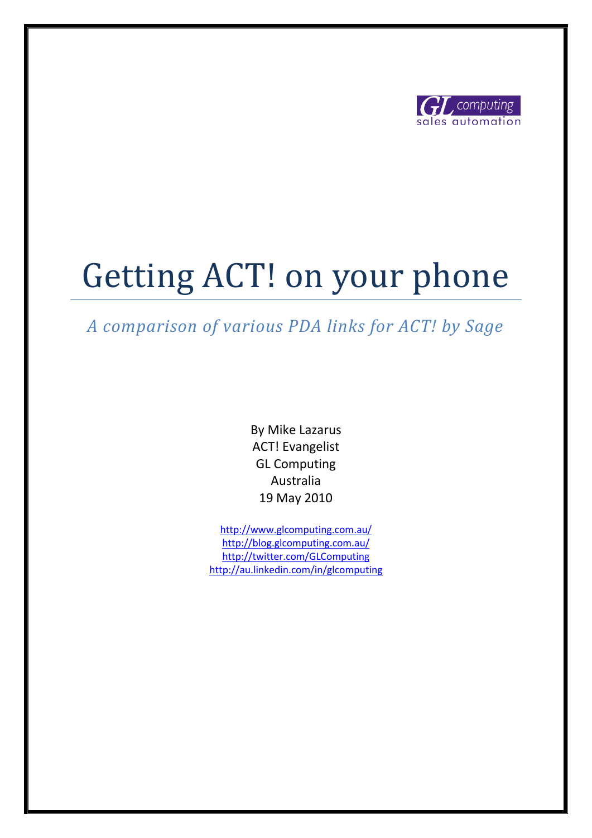

# Getting ACT! on your phone

## *A comparison of various PDA links for ACT! by Sage*

By Mike Lazarus ACT! Evangelist GL Computing Australia 19 May 2010

<http://www.glcomputing.com.au/> <http://blog.glcomputing.com.au/> <http://twitter.com/GLComputing> <http://au.linkedin.com/in/glcomputing>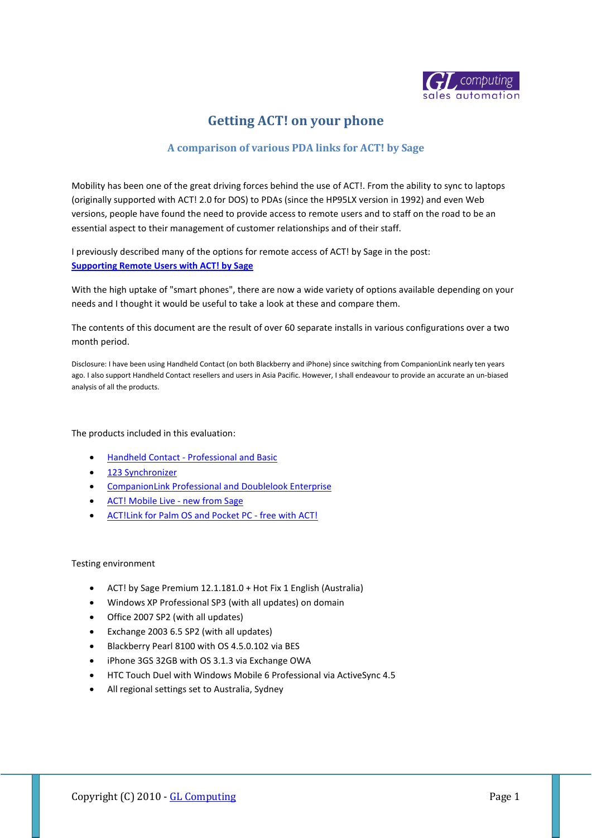

### **Getting ACT! on your phone**

#### **A comparison of various PDA links for ACT! by Sage**

Mobility has been one of the great driving forces behind the use of ACT!. From the ability to sync to laptops (originally supported with ACT! 2.0 for DOS) to PDAs (since the HP95LX version in 1992) and even Web versions, people have found the need to provide access to remote users and to staff on the road to be an essential aspect to their management of customer relationships and of their staff.

I previously described many of the options for remote access of ACT! by Sage in the post: **[Supporting Remote Users with ACT! by Sage](http://blog.glcomputing.com.au/2009/11/supporting-remote-users-with-act-by.html)**

With the high uptake of "smart phones", there are now a wide variety of options available depending on your needs and I thought it would be useful to take a look at these and compare them.

The contents of this document are the result of over 60 separate installs in various configurations over a two month period.

Disclosure: I have been using Handheld Contact (on both Blackberry and iPhone) since switching from CompanionLink nearly ten years ago. I also support Handheld Contact resellers and users in Asia Pacific. However, I shall endeavour to provide an accurate an un-biased analysis of all the products.

The products included in this evaluation:

- Handheld Contact [Professional and Basic](http://www.glcomputing.com.au/HHC/)
- [123 Synchronizer](http://hotdownloads.com/trialware/download/Download_123-synchronizer.exe?item=5482-21&affiliate=575914)
- [CompanionLink Professional and Doublelook Enterprise](http://www.companionlink.com/?discountCode=GL6766)
- [ACT! Mobile Live -](http://www.actmobilelive.com/) new from Sage
- [ACT!Link for Palm OS and Pocket PC -](http://www.sagebusiness.com.au/pg-act-software-mobile-solutions.seo) free with ACT!

#### Testing environment

- ACT! by Sage Premium 12.1.181.0 + Hot Fix 1 English (Australia)
- Windows XP Professional SP3 (with all updates) on domain
- Office 2007 SP2 (with all updates)
- Exchange 2003 6.5 SP2 (with all updates)
- Blackberry Pearl 8100 with OS 4.5.0.102 via BES
- iPhone 3GS 32GB with OS 3.1.3 via Exchange OWA
- HTC Touch Duel with Windows Mobile 6 Professional via ActiveSync 4.5
- All regional settings set to Australia, Sydney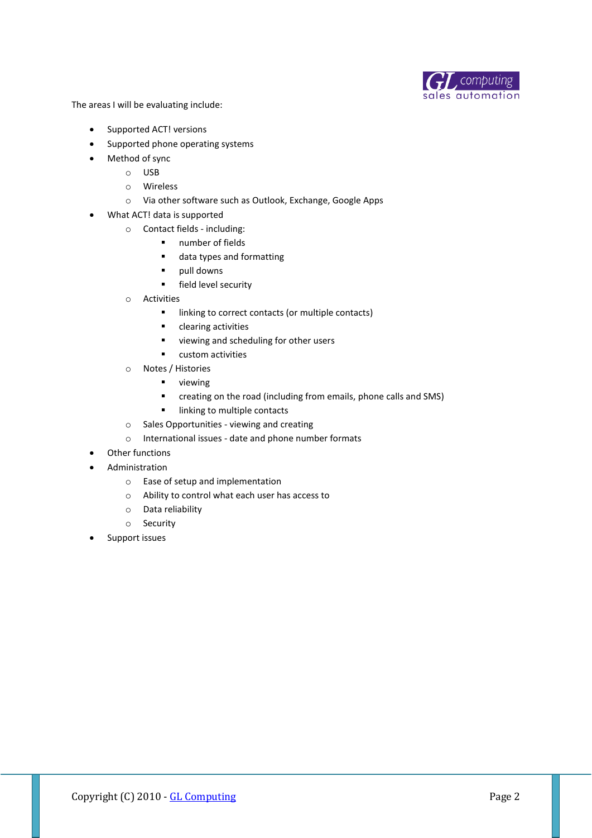

The areas I will be evaluating include:

- Supported ACT! versions
- Supported phone operating systems
- Method of sync
	- o USB
	- o Wireless
	- o Via other software such as Outlook, Exchange, Google Apps
- What ACT! data is supported
	- o Contact fields including:
		- **number of fields**
		- data types and formatting
		- **•** pull downs
		- **Field level security**
	- o Activities
		- **In linking to correct contacts (or multiple contacts)**
		- **•** clearing activities
		- **viewing and scheduling for other users**
		- **u** custom activities
	- o Notes / Histories
		- **viewing**
		- creating on the road (including from emails, phone calls and SMS)
		- **Inking to multiple contacts**
	- o Sales Opportunities viewing and creating
	- o International issues date and phone number formats
- Other functions
- Administration
	- o Ease of setup and implementation
	- o Ability to control what each user has access to
	- o Data reliability
	- o Security
- Support issues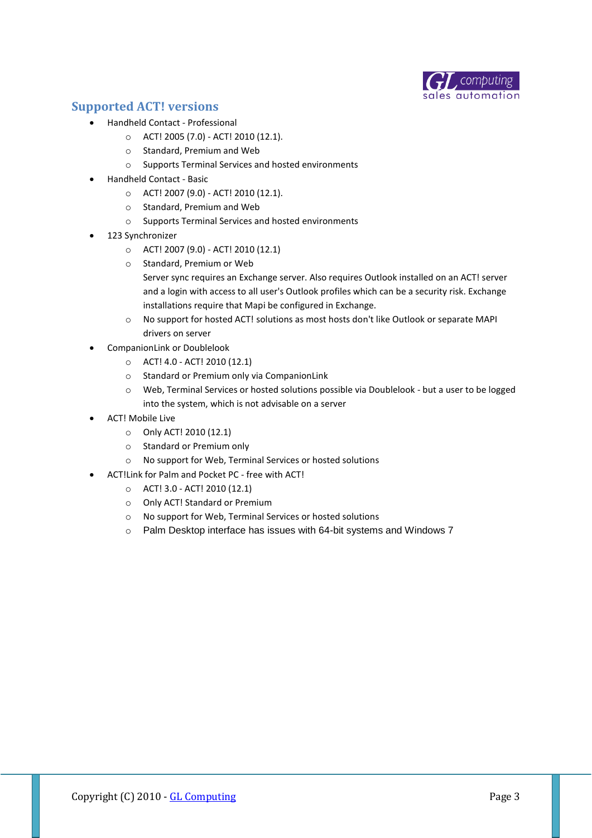

#### **Supported ACT! versions**

- Handheld Contact Professional
	- o ACT! 2005 (7.0) ACT! 2010 (12.1).
		- o Standard, Premium and Web
	- o Supports Terminal Services and hosted environments
- Handheld Contact Basic
	- o ACT! 2007 (9.0) ACT! 2010 (12.1).
	- o Standard, Premium and Web
	- o Supports Terminal Services and hosted environments
- 123 Synchronizer
	- o ACT! 2007 (9.0) ACT! 2010 (12.1)
	- o Standard, Premium or Web
		- Server sync requires an Exchange server. Also requires Outlook installed on an ACT! server and a login with access to all user's Outlook profiles which can be a security risk. Exchange installations require that Mapi be configured in Exchange.
	- o No support for hosted ACT! solutions as most hosts don't like Outlook or separate MAPI drivers on server
- CompanionLink or Doublelook
	- o ACT! 4.0 ACT! 2010 (12.1)
	- o Standard or Premium only via CompanionLink
	- o Web, Terminal Services or hosted solutions possible via Doublelook but a user to be logged into the system, which is not advisable on a server
- ACT! Mobile Live
	- o Only ACT! 2010 (12.1)
	- o Standard or Premium only
	- o No support for Web, Terminal Services or hosted solutions
- ACT!Link for Palm and Pocket PC free with ACT!
	- o ACT! 3.0 ACT! 2010 (12.1)
	- o Only ACT! Standard or Premium
	- o No support for Web, Terminal Services or hosted solutions
	- o Palm Desktop interface has issues with 64-bit systems and Windows 7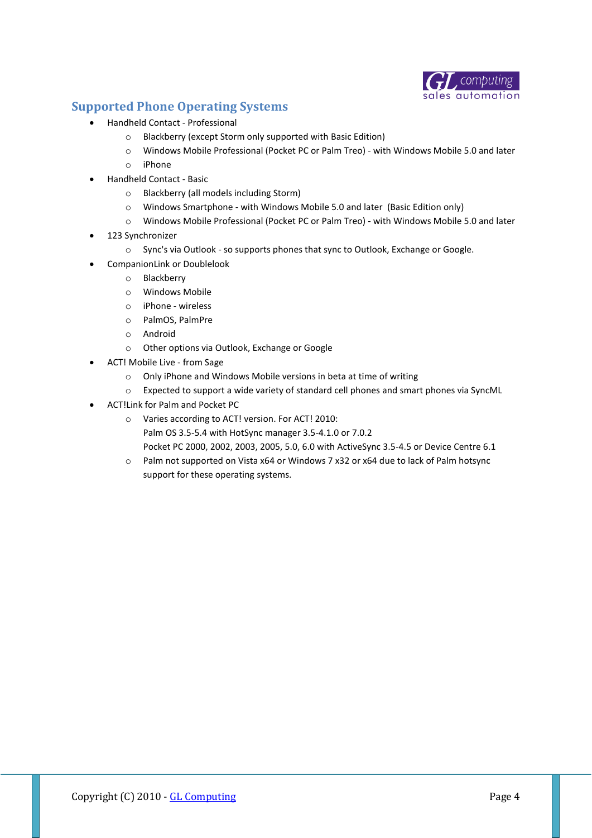

#### **Supported Phone Operating Systems**

- Handheld Contact Professional
	- o Blackberry (except Storm only supported with Basic Edition)
	- o Windows Mobile Professional (Pocket PC or Palm Treo) with Windows Mobile 5.0 and later
	- o iPhone
- Handheld Contact Basic
	- o Blackberry (all models including Storm)
	- o Windows Smartphone with Windows Mobile 5.0 and later (Basic Edition only)
	- o Windows Mobile Professional (Pocket PC or Palm Treo) with Windows Mobile 5.0 and later
- 123 Synchronizer
	- o Sync's via Outlook so supports phones that sync to Outlook, Exchange or Google.
- CompanionLink or Doublelook
	- o Blackberry
	- o Windows Mobile
	- o iPhone wireless
	- o PalmOS, PalmPre
	- o Android
	- o Other options via Outlook, Exchange or Google
- ACT! Mobile Live from Sage
	- o Only iPhone and Windows Mobile versions in beta at time of writing
	- o Expected to support a wide variety of standard cell phones and smart phones via SyncML
- ACT!Link for Palm and Pocket PC
	- o Varies according to ACT! version. For ACT! 2010: Palm OS 3.5-5.4 with HotSync manager 3.5-4.1.0 or 7.0.2 Pocket PC 2000, 2002, 2003, 2005, 5.0, 6.0 with ActiveSync 3.5-4.5 or Device Centre 6.1
	- o Palm not supported on Vista x64 or Windows 7 x32 or x64 due to lack of Palm hotsync support for these operating systems.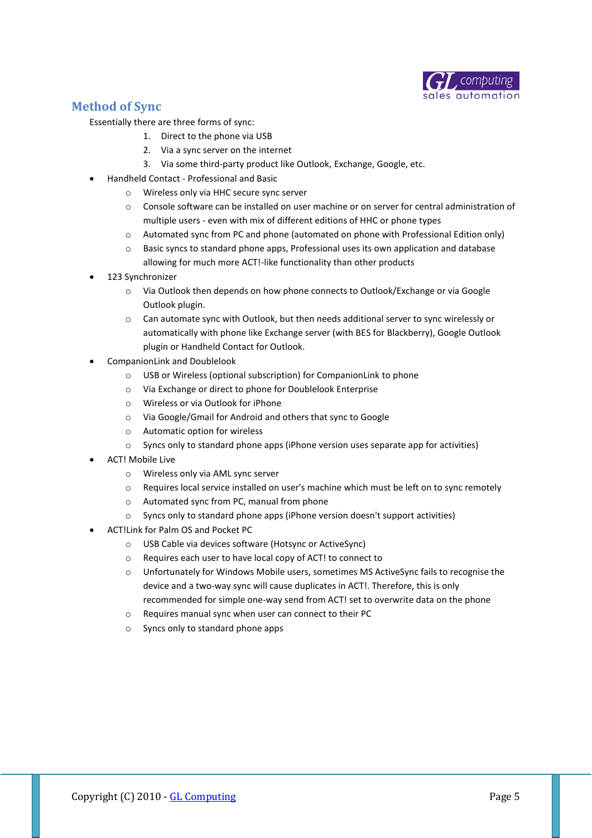

#### **Method of Sync**

Essentially there are three forms of sync:

- 1. Direct to the phone via USB
	- 2. Via a sync server on the internet
	- 3. Via some third-party product like Outlook, Exchange, Google, etc.
- Handheld Contact Professional and Basic
	- o Wireless only via HHC secure sync server
	- o Console software can be installed on user machine or on server for central administration of multiple users - even with mix of different editions of HHC or phone types
	- o Automated sync from PC and phone (automated on phone with Professional Edition only)
	- $\circ$  Basic syncs to standard phone apps. Professional uses its own application and database allowing for much more ACT!-like functionality than other products
- 123 Synchronizer
	- $\circ$  Via Outlook then depends on how phone connects to Outlook/Exchange or via Google Outlook plugin.
	- o Can automate sync with Outlook, but then needs additional server to sync wirelessly or automatically with phone like Exchange server (with BES for Blackberry), Google Outlook plugin or Handheld Contact for Outlook.
- CompanionLink and Doublelook
	- o USB or Wireless (optional subscription) for CompanionLink to phone
	- o Via Exchange or direct to phone for Doublelook Enterprise
	- o Wireless or via Outlook for iPhone
	- o Via Google/Gmail for Android and others that sync to Google
	- o Automatic option for wireless
	- o Syncs only to standard phone apps (iPhone version uses separate app for activities)
- ACT! Mobile Live
	- o Wireless only via AML sync server
	- o Requires local service installed on user's machine which must be left on to sync remotely
	- o Automated sync from PC, manual from phone
	- o Syncs only to standard phone apps (iPhone version doesn't support activities)
- ACT!Link for Palm OS and Pocket PC
	- o USB Cable via devices software (Hotsync or ActiveSync)
	- o Requires each user to have local copy of ACT! to connect to
	- o Unfortunately for Windows Mobile users, sometimes MS ActiveSync fails to recognise the device and a two-way sync will cause duplicates in ACT!. Therefore, this is only recommended for simple one-way send from ACT! set to overwrite data on the phone
	- o Requires manual sync when user can connect to their PC
	- o Syncs only to standard phone apps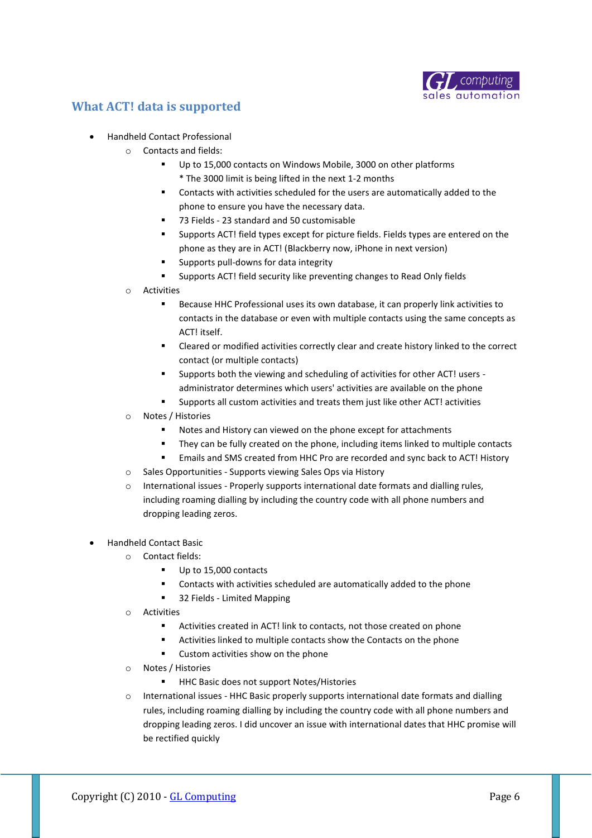

#### **What ACT! data is supported**

- Handheld Contact Professional
	- o Contacts and fields:
		- Up to 15,000 contacts on Windows Mobile, 3000 on other platforms \* The 3000 limit is being lifted in the next 1-2 months
		- Contacts with activities scheduled for the users are automatically added to the phone to ensure you have the necessary data.
		- 73 Fields 23 standard and 50 customisable
		- Supports ACT! field types except for picture fields. Fields types are entered on the phone as they are in ACT! (Blackberry now, iPhone in next version)
		- Supports pull-downs for data integrity
		- Supports ACT! field security like preventing changes to Read Only fields
	- o Activities
		- Because HHC Professional uses its own database, it can properly link activities to contacts in the database or even with multiple contacts using the same concepts as ACT! itself.
		- Cleared or modified activities correctly clear and create history linked to the correct contact (or multiple contacts)
		- Supports both the viewing and scheduling of activities for other ACT! users administrator determines which users' activities are available on the phone
		- Supports all custom activities and treats them just like other ACT! activities
	- o Notes / Histories
		- Notes and History can viewed on the phone except for attachments
		- They can be fully created on the phone, including items linked to multiple contacts
		- Emails and SMS created from HHC Pro are recorded and sync back to ACT! History
	- o Sales Opportunities Supports viewing Sales Ops via History
	- $\circ$  International issues Properly supports international date formats and dialling rules, including roaming dialling by including the country code with all phone numbers and dropping leading zeros.
- Handheld Contact Basic
	- o Contact fields:
		- Up to 15,000 contacts
		- Contacts with activities scheduled are automatically added to the phone
		- 32 Fields Limited Mapping
	- o Activities
		- Activities created in ACT! link to contacts, not those created on phone
		- Activities linked to multiple contacts show the Contacts on the phone
		- Custom activities show on the phone
	- o Notes / Histories
		- HHC Basic does not support Notes/Histories
	- o International issues HHC Basic properly supports international date formats and dialling rules, including roaming dialling by including the country code with all phone numbers and dropping leading zeros. I did uncover an issue with international dates that HHC promise will be rectified quickly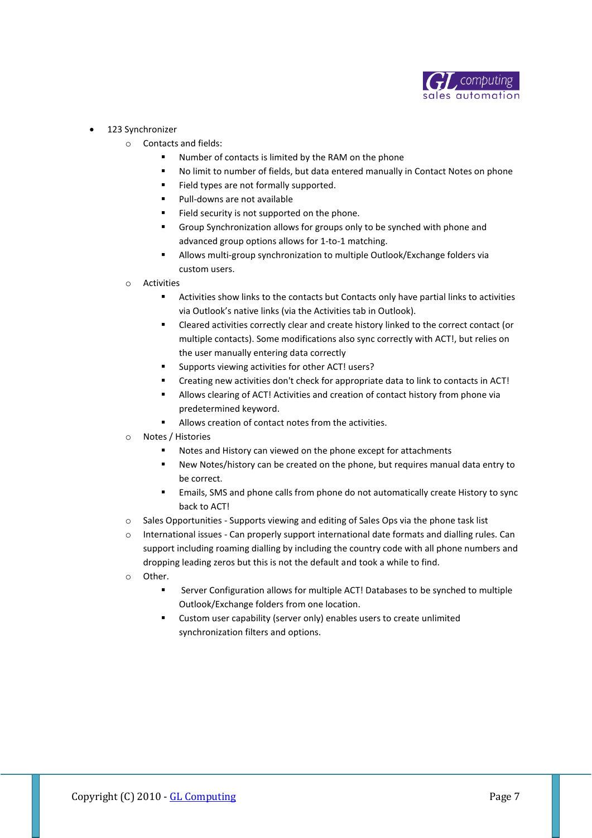

- 123 Synchronizer
	- o Contacts and fields:
		- Number of contacts is limited by the RAM on the phone
		- No limit to number of fields, but data entered manually in Contact Notes on phone
		- Field types are not formally supported.
		- Pull-downs are not available
		- Field security is not supported on the phone.
		- Group Synchronization allows for groups only to be synched with phone and advanced group options allows for 1-to-1 matching.
		- Allows multi-group synchronization to multiple Outlook/Exchange folders via custom users.
	- o Activities
		- Activities show links to the contacts but Contacts only have partial links to activities via Outlook's native links (via the Activities tab in Outlook).
		- Cleared activities correctly clear and create history linked to the correct contact (or multiple contacts). Some modifications also sync correctly with ACT!, but relies on the user manually entering data correctly
		- Supports viewing activities for other ACT! users?
		- Creating new activities don't check for appropriate data to link to contacts in ACT!
		- Allows clearing of ACT! Activities and creation of contact history from phone via predetermined keyword.
		- Allows creation of contact notes from the activities.
	- o Notes / Histories
		- Notes and History can viewed on the phone except for attachments
		- New Notes/history can be created on the phone, but requires manual data entry to be correct.
		- Emails, SMS and phone calls from phone do not automatically create History to sync back to ACT!
	- o Sales Opportunities Supports viewing and editing of Sales Ops via the phone task list
	- o International issues Can properly support international date formats and dialling rules. Can support including roaming dialling by including the country code with all phone numbers and dropping leading zeros but this is not the default and took a while to find.
	- o Other.
		- Server Configuration allows for multiple ACT! Databases to be synched to multiple Outlook/Exchange folders from one location.
		- Custom user capability (server only) enables users to create unlimited synchronization filters and options.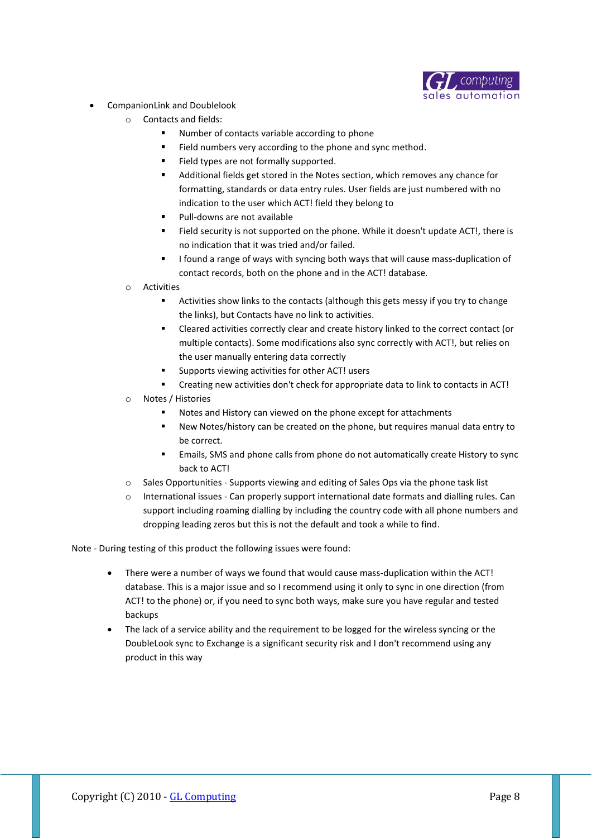

- CompanionLink and Doublelook
	- o Contacts and fields:
		- Number of contacts variable according to phone
		- Field numbers very according to the phone and sync method.
		- Field types are not formally supported.
		- Additional fields get stored in the Notes section, which removes any chance for formatting, standards or data entry rules. User fields are just numbered with no indication to the user which ACT! field they belong to
		- Pull-downs are not available
		- Field security is not supported on the phone. While it doesn't update ACT!, there is no indication that it was tried and/or failed.
		- I found a range of ways with syncing both ways that will cause mass-duplication of contact records, both on the phone and in the ACT! database.
	- o Activities
		- Activities show links to the contacts (although this gets messy if you try to change the links), but Contacts have no link to activities.
		- Cleared activities correctly clear and create history linked to the correct contact (or multiple contacts). Some modifications also sync correctly with ACT!, but relies on the user manually entering data correctly
		- Supports viewing activities for other ACT! users
		- Creating new activities don't check for appropriate data to link to contacts in ACT!
	- Notes / Histories
		- Notes and History can viewed on the phone except for attachments
		- New Notes/history can be created on the phone, but requires manual data entry to be correct.
		- Emails, SMS and phone calls from phone do not automatically create History to sync back to ACT!
	- o Sales Opportunities Supports viewing and editing of Sales Ops via the phone task list
	- International issues Can properly support international date formats and dialling rules. Can support including roaming dialling by including the country code with all phone numbers and dropping leading zeros but this is not the default and took a while to find.

Note - During testing of this product the following issues were found:

- There were a number of ways we found that would cause mass-duplication within the ACT! database. This is a major issue and so I recommend using it only to sync in one direction (from ACT! to the phone) or, if you need to sync both ways, make sure you have regular and tested backups
- The lack of a service ability and the requirement to be logged for the wireless syncing or the DoubleLook sync to Exchange is a significant security risk and I don't recommend using any product in this way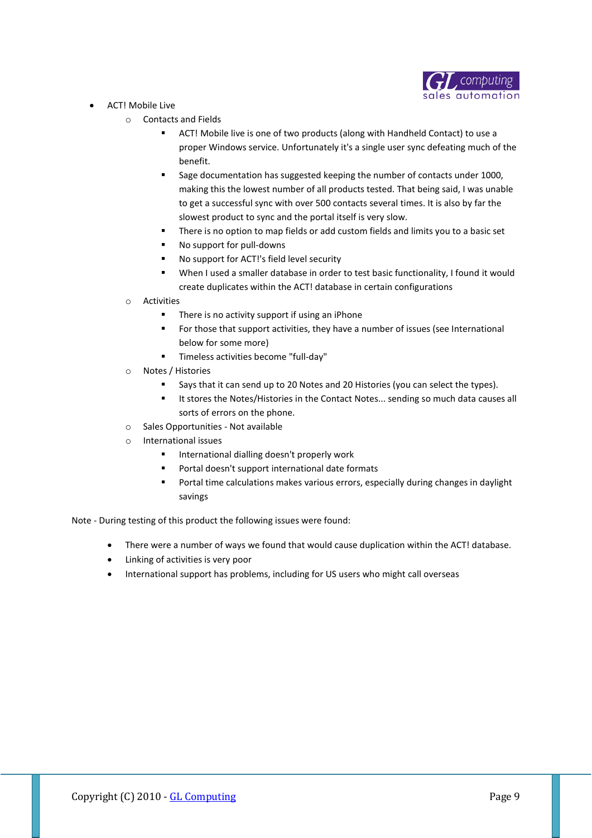

- ACT! Mobile Live
	- o Contacts and Fields
		- ACT! Mobile live is one of two products (along with Handheld Contact) to use a proper Windows service. Unfortunately it's a single user sync defeating much of the benefit.
		- **Sage documentation has suggested keeping the number of contacts under 1000,** making this the lowest number of all products tested. That being said, I was unable to get a successful sync with over 500 contacts several times. It is also by far the slowest product to sync and the portal itself is very slow.
		- **There is no option to map fields or add custom fields and limits you to a basic set**
		- No support for pull-downs
		- No support for ACT!'s field level security
		- When I used a smaller database in order to test basic functionality, I found it would create duplicates within the ACT! database in certain configurations
	- o Activities
		- **There is no activity support if using an iPhone**
		- **FICE 15** For those that support activities, they have a number of issues (see International below for some more)
		- Timeless activities become "full-day"
	- o Notes / Histories
		- Says that it can send up to 20 Notes and 20 Histories (you can select the types).
		- **If stores the Notes/Histories in the Contact Notes... sending so much data causes all** sorts of errors on the phone.
	- o Sales Opportunities Not available
	- o International issues
		- **International dialling doesn't properly work**
		- Portal doesn't support international date formats
		- Portal time calculations makes various errors, especially during changes in daylight savings

Note - During testing of this product the following issues were found:

- There were a number of ways we found that would cause duplication within the ACT! database.
- Linking of activities is very poor
- International support has problems, including for US users who might call overseas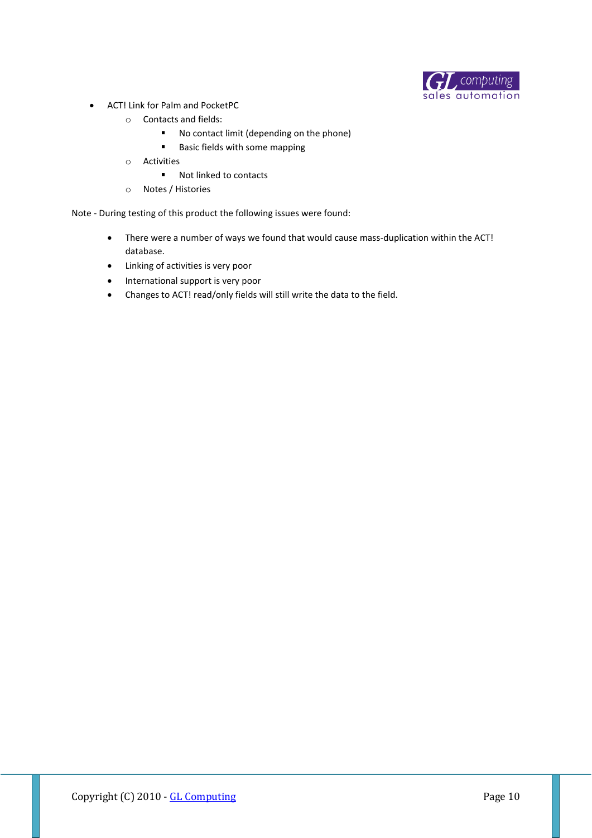

- ACT! Link for Palm and PocketPC
	- o Contacts and fields:
		- No contact limit (depending on the phone)
		- **Basic fields with some mapping**
	- o Activities
		- Not linked to contacts
	- o Notes / Histories

Note - During testing of this product the following issues were found:

- There were a number of ways we found that would cause mass-duplication within the ACT! database.
- Linking of activities is very poor
- International support is very poor
- Changes to ACT! read/only fields will still write the data to the field.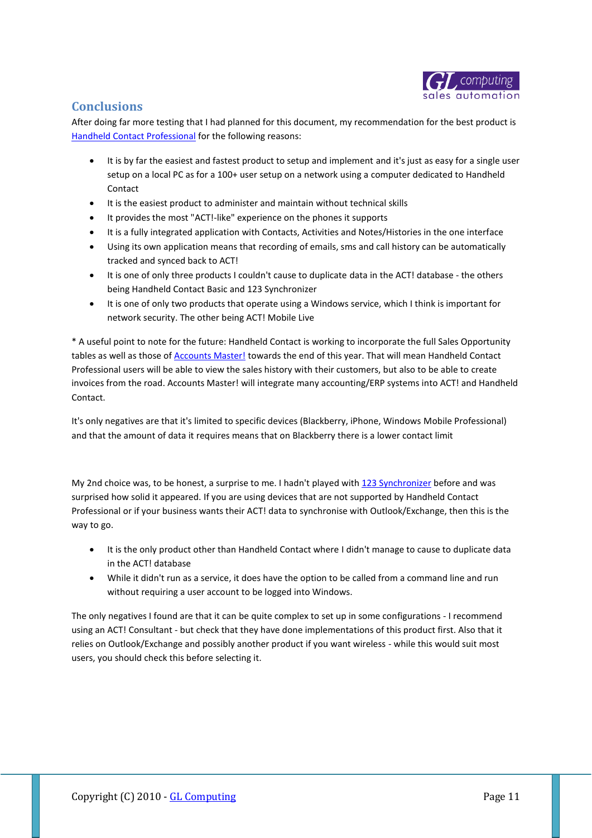

#### **Conclusions**

After doing far more testing that I had planned for this document, my recommendation for the best product is [Handheld Contact Professional](http://www.glcomputing.com.au/HHC) for the following reasons:

- It is by far the easiest and fastest product to setup and implement and it's just as easy for a single user setup on a local PC as for a 100+ user setup on a network using a computer dedicated to Handheld Contact
- It is the easiest product to administer and maintain without technical skills
- It provides the most "ACT!-like" experience on the phones it supports
- It is a fully integrated application with Contacts, Activities and Notes/Histories in the one interface
- Using its own application means that recording of emails, sms and call history can be automatically tracked and synced back to ACT!
- It is one of only three products I couldn't cause to duplicate data in the ACT! database the others being Handheld Contact Basic and 123 Synchronizer
- It is one of only two products that operate using a Windows service, which I think is important for network security. The other being ACT! Mobile Live

\* A useful point to note for the future: Handheld Contact is working to incorporate the full Sales Opportunity tables as well as those of [Accounts Master!](http://www.glcomputing.com.au/main/75/1) towards the end of this year. That will mean Handheld Contact Professional users will be able to view the sales history with their customers, but also to be able to create invoices from the road. Accounts Master! will integrate many accounting/ERP systems into ACT! and Handheld Contact.

It's only negatives are that it's limited to specific devices (Blackberry, iPhone, Windows Mobile Professional) and that the amount of data it requires means that on Blackberry there is a lower contact limit

My 2nd choice was, to be honest, a surprise to me. I hadn't played with [123 Synchronizer](http://hotdownloads.com/trialware/download/Download_123-synchronizer.exe?item=5482-21&affiliate=575914) before and was surprised how solid it appeared. If you are using devices that are not supported by Handheld Contact Professional or if your business wants their ACT! data to synchronise with Outlook/Exchange, then this is the way to go.

- It is the only product other than Handheld Contact where I didn't manage to cause to duplicate data in the ACT! database
- While it didn't run as a service, it does have the option to be called from a command line and run without requiring a user account to be logged into Windows.

The only negatives I found are that it can be quite complex to set up in some configurations - I recommend using an ACT! Consultant - but check that they have done implementations of this product first. Also that it relies on Outlook/Exchange and possibly another product if you want wireless - while this would suit most users, you should check this before selecting it.